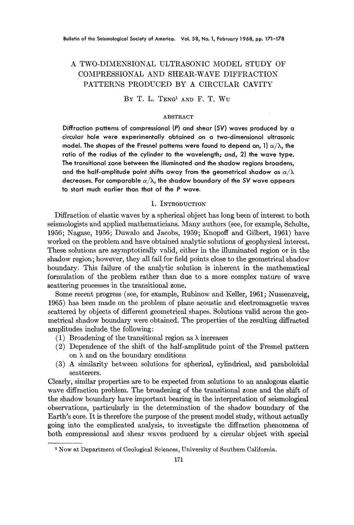# A TWO-DIMENSIONAL ULTRASONIC MODEL STUDY OF COMPRESSIONAL AND SHEAR-WAVE DIFFRACTION PATTERNS PRODUCED BY A CIRCULAR CAVITY

BY T. L. TENG<sup>1</sup> AND F. T. WU

### ABSTRACT

**Diffraction patterns of compressional (P) and shear** *(SV}* **waves produced by a circular hole were experimentally obtained on a two-dimensional ultrasonic**  model. The shapes of the Fresnel patterns were found to depend on, 1)  $\alpha/\lambda$ , the **ratio of the radius of the cylinder to the wavelength; and, 2) the wave type. The transitional zone between the illuminated and the shadow regions broadens,**  and the half-amplitude point shifts away from the geometrical shadow as  $\alpha/\lambda$ decreases. For comparable  $\alpha/\lambda$ , the shadow boundary of the SV wave appears **to start much earlier than that of the P wave.** 

### 1. INTRODUCTION

Diffraction of elastic waves by a spherical object has long been of interest to both seismologists and applied mathematicians. Many authors (see, for example, Scholte, 1956; Nagase, 1956; Duw~lo and Jacobs, 1959; Knopoff and Gilbert, 1961) have worked on the problem and have obtained analytic solutions of geophysical interest. These solutions are asymptotically valid, either in the illuminated region or in the shadow region; however, they all fail for field points close to the geometrical shadow boundary. This failure of the analytic solution is inherent in the mathematical formulation of the problem rather than due to a more complex nature of wave scattering processes in the transitional zone.

Some recent progress (see, for example, Rubinow and Keller, 1961; Nussenzveig, 1965) has been made on the problem of plane acoustic and electromagnetic waves scattered by objects of different geometrical shapes. Solutions valid across the geometrical shadow boundary were obtained. The properties of the resulting diffracted amplitudes include the following:

- (1) Broadening of the transitional region as  $\lambda$  increases
- (2) Dependence of the shift of the half-amplitude point of the Fresnel pattern on  $\lambda$  and on the boundary conditions
- $(3)$  A similarity between solutions for spherical, cylindrical, and paraboloidal scatterers.

Clearly, similar properties are to be expected from solutions to an analogous elastic wave diffraction problem. The broadening of the transitional zone and the shift of the shadow boundary have important bearing in the interpretation of seismological observations, particularly in the determination of the shadow boundary of the Earth's core. It is therefore the purpose of the present model study, without actually going into the complicated analysis, to investigate the diffraction phenomena of both compressional and shear waves produced by a circular object with special

<sup>1</sup> Now at Department of Geological Sciences, University of Southern California.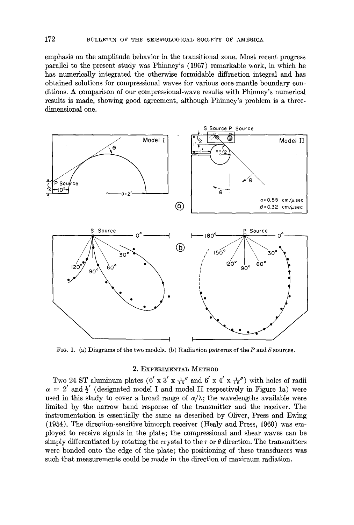emphasis on the amplitude behavior in the transitional zone. Most recent progress parallel to the present study was Phinney's (1967) remarkable work, in which he has numerically integrated the otherwise formidable diffraction integral and has obtained solutions for compressional waves for various core-mantle boundary conditions. A comparison of our compressional-wave results with Phinney's numerical results is made, showing good agreement, although Phinney's problem is a threedimensional one.



FIG. 1. (a) Diagrams of the two models. (b) Radiation patterns of the P and S sources.

#### 2. EXPERIMENTAL METHOD

Two 24 ST aluminum plates (6' x 3' x  $\frac{1}{16}$ " and 6' x 4' x  $\frac{1}{16}$ ") with holes of radii  $\alpha = 2'$  and  $\frac{1}{2}'$  (designated model I and model II respectively in Figure 1a) were used in this study to cover a broad range of  $\alpha/\lambda$ ; the wavelengths available were limited by the narrow band response of the transmitter and the receiver. The instrumentation is essentially the same as described by Oliver, Press and Ewing (1954). The direction-sensitive bimorph receiver (Healy and Press, 1960) was employed to receive signals in the plate; the compressional and shear waves can be simply differentiated by rotating the crystal to the r or  $\theta$  direction. The transmitters were bonded onto the edge of the plate; the positioning of these transducers was such that measurements could be made in the direction of maximum radiation.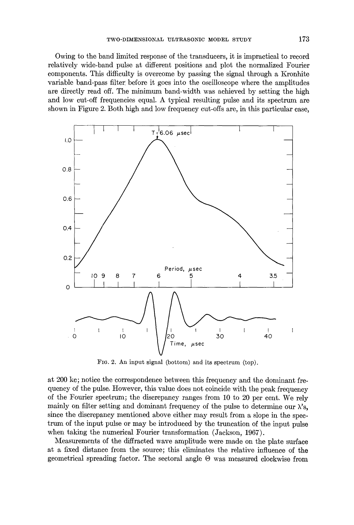Owing to the band limited response of the transducers, it is impractical to record relatively wide-band pulse at different positions and plot the normalized Fourier components. This difficulty is overcome by passing the signal through a Kronhite variable band-pass filter: before it goes into the oscilloscope where the amplitudes are directly read off. The minimum band-width was achieved by setting the high and low cut-off frequencies equal. A typical resulting pulse and its spectrum are shown in Figure 2. Both high and low frequency cut-offs are, in this particular case,



FIG. 2. An input signal (bottom) and its spectrum (top).

at 200 kc; notice the correspondence between this frequency and the dominant frequency of the pulse. However, this value does not coincide with the peak frequency of the Fourier spectrum; the discrepancy ranges from 10 to 20 per cent. We rely mainly on filter setting and dominant frequency of the pulse to determine our  $\lambda$ 's, since the discrepancy mentioned above either may result from a slope in the spectrum of the input pulse or may be introduced by the truncation of the input pulse when taking the numerical Fourier transformation (Jackson, 1967).

Measurements of the diffracted wave amplitude were made on the plate surface at a fixed distance from the source; this eliminates the relative influence of the geometrical spreading factor. The sectoral angle  $\Theta$  was measured clockwise from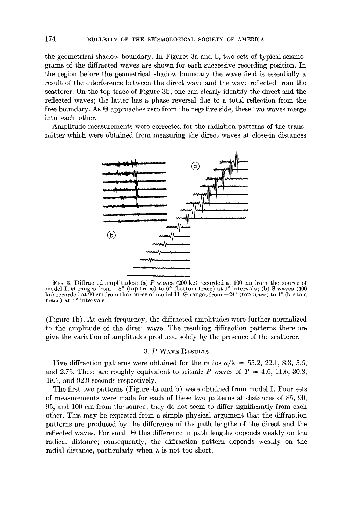the geometrical shadow boundary. In Figures 3a and b, two sets of typical seismograms of the diffracted waves are shown for each successive recording position. In the region before the geometrical shadow boundary the wave field is essentially a result of the interference between the direct wave and the wave reflected from the scatterer. On the top trace of Figure 3b, one can clearly identify the direct and the reflected waves; the latter has a phase reversal due to a total reflection from the free boundary. As  $\Theta$  approaches zero from the negative side, these two waves merge into each other.

Amplitude measurements were corrected for the radiation patterns of the transmitter which were obtained from measuring the direct waves at close-in distances



FIG. 3. Diffracted amplitudes: (a) P waves (200 kc) recorded at 100 cm from the source of model I,  $\Theta$  ranges from  $-8^{\circ}$  (top trace) to 6° (bottom trace) at 1° intervals; (b) S waves (400 kc) recorded at  $90 \text{ cm}$  from the source of model II,  $\Theta$  ranges from  $-24^{\circ}$  (top trace) to  $4^{\circ}$  (bottom trace) at 4° intervals.

(Figure lb). At each frequency, the diffracted amplitudes were further normalized to the amplitude of the direct wave. The resulting diffraction patterns therefore give the variation of amplitudes produced solely by the presence of the scatterer.

### 3. P-WAVE RESULTS

Five diffraction patterns were obtained for the ratios  $\alpha/\lambda = 55.2, 22.1, 8.3, 5.5$ , and 2.75. These are roughly equivalent to seismic P waves of  $T = 4.6, 11.6, 30.8$ , 49.1, and 92.9 seconds respectively.

The first two patterns (Figure 4a and b) were obtained from model I. Four sets of measurements were made for each of these two patterns at distances of 85, 90, 95, and 100 cm from the source; they do not seem to differ significantly from each other. This may be expected from a simple physical argument that the diffraction patterns are produced by the difference of the path lengths of the direct and the reflected waves. For small  $\Theta$  this difference in path lengths depends weakly on the radical distance; consequently, the diffraction pattern depends weakly on the radial distance, particularly when  $\lambda$  is not too short.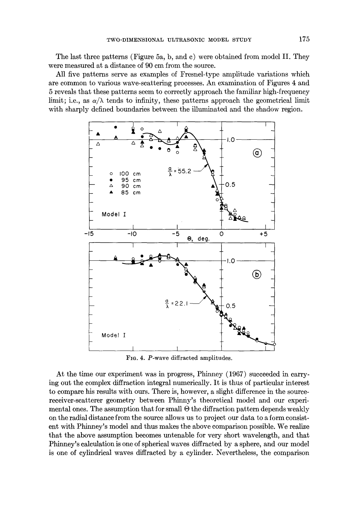The last three patterns (Figure 5a, b, and c) were obtained from model II. They were measured at a distance of 90 cm from the source.

All five patterns serve as examples of Fresnel-type amplitude variations which are common to various wave-scattering processes. An examination of Figures 4 and 5 reveals that these patterns seem to correctly approach the familiar high-frequency limit; i.e., as  $\alpha/\lambda$  tends to infinity, these patterns approach the geometrical limit with sharply defined boundaries between the illuminated and the shadow region.



FIG. 4. P-wave diffracted amplitudes.

At the time our experiment was in progress, Phinney (1967) succeeded in carrying out the complex diffraction integral numerically. It is thus of particular interest to compare his results with ours. There is, however, a slight difference in the sourcereceiver-scatterer geometry between Phinny's theoretical model and our experimental ones. The assumption that for small  $\Theta$  the diffraction pattern depends weakly on the radial distance from the source allows us to project our data to a form consistent with Phinney's model and thus makes the above comparison possible. We realize that the above assumption becomes untenable for very short wavelength, and that Phinney's calculation is one of spherical waves diffracted by a sphere, and our model is one of cylindrical waves diffracted by a cylinder. Nevertheless, the comparison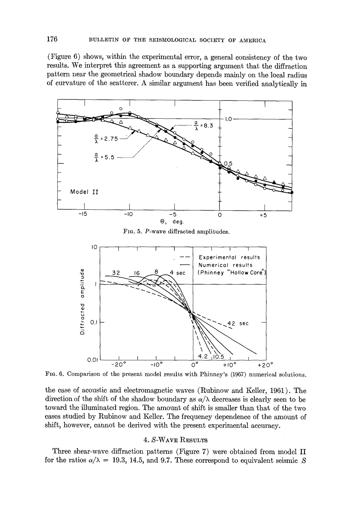(Figure 6) shows, within the experimental error, a general consistency of the two results. We interpret this agreement as a supporting argument that the diffraction pattern near the geometrical shadow boundary depends mainly on the local radius of curvature of the scatterer. A similar argument has been verified analytically in





FIG. 6. Comparison of the present model results with Phinney's (1967) numerical solutions.

the case of acoustic and electromagnetic waves (Rubinow and Keller, 1961). The direction of the shift of the shadow boundary as  $\alpha/\lambda$  decreases is clearly seen to be toward the illuminated region. The amount of shift is smaller than that of the two cases studied by Rubinow and Keller. The frequency dependence of the amount of shift, however, cannot be derived with the present experimental accuracy.

## 4. S-WAYE RESULTS

Three shear-wave diffraction patterns (Figure 7) were obtained from model II for the ratios  $\alpha/\lambda = 19.3$ , 14.5, and 9.7. These correspond to equivalent seismic S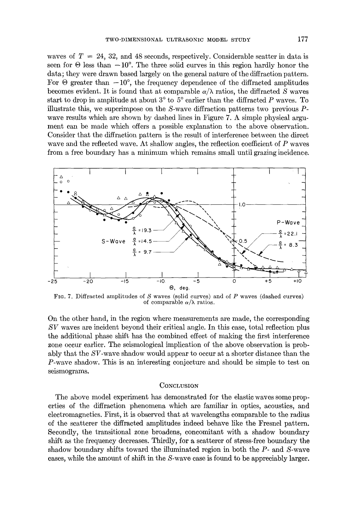waves of  $T = 24$ , 32, and 48 seconds, respectively. Considerable scatter in data is seen for  $\Theta$  less than  $-10^{\circ}$ . The three solid curves in this region hardly honor the data; they were drawn based largely on the general nature of the diffraction pattern. For  $\Theta$  greater than  $-10^{\circ}$ , the frequency dependence of the diffracted amplitudes becomes evident. It is found that at comparable  $\alpha/\lambda$  ratios, the diffracted S waves start to drop in amplitude at about  $3^{\circ}$  to  $5^{\circ}$  earlier than the diffracted P waves. To illustrate this, we superimpose on the  $S$ -wave diffraction patterns two previous  $P$ wave results which are shown by dashed lines in Figure 7. A simple physical argument can be made which offers a possible explanation to the above observation. Consider that the diffraction pattern is the result of interference between the direct wave and the reflected wave. At shallow angles, the reflection coefficient of P waves from a free boundary has a minimum which remains small until grazing incidence.



FIG. 7. Diffracted amplitudes of  $S$  waves (solid curves) and of  $P$  waves (dashed curves) of comparable  $\alpha/\lambda$  ratios.

On the other hand, in the region where measurements are made, the corresponding SV waves are incident beyond their critical angle. In this case, total reflection plus the additional phase shift has the combined effect of making the first interference zone occur earlier. The seismological implication of the above observation is probably that the SV-wave shadow would appear to occur at a shorter distance than the P-wave shadow. This is an interesting conjecture and should be simple to test on seismograms.

#### **CONCLUSION**

The above model experiment has demonstrated for the elastic waves some properties of the diffraction phenomena which are familiar in optics, acoustics, and electromagnetics. First, it is observed that at wavelengths comparable to the radius of the scatterer the diffracted amplitudes indeed behave like the Fresnel pattern. Secondly, the transitional zone broadens, concomitant with a shadow boundary shift as the frequency decreases. Thirdly, for a scatterer of stress-free boundary the shadow boundary shifts toward the illuminated region in both the  $P$ - and  $S$ -wave cases, while the amount of shift in the S-wave case is found to be appreciably larger.